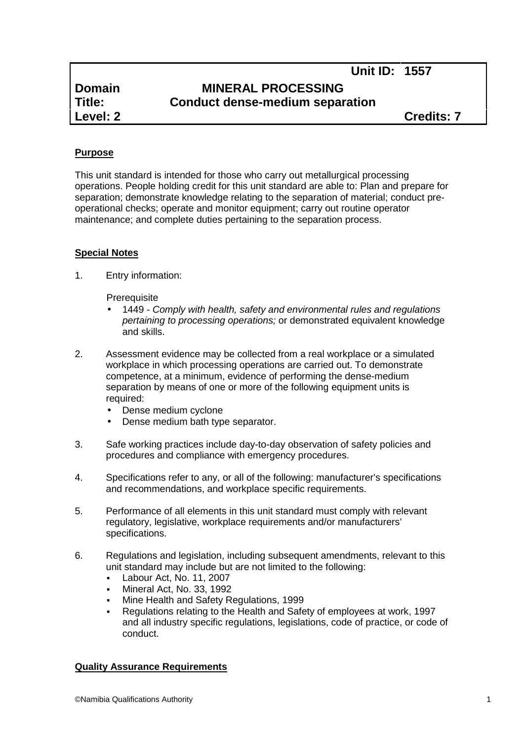**Unit ID: 1557**

# **Domain MINERAL PROCESSING Title: Conduct dense-medium separation**

**Level: 2 Credits: 7**

## **Purpose**

This unit standard is intended for those who carry out metallurgical processing operations. People holding credit for this unit standard are able to: Plan and prepare for separation; demonstrate knowledge relating to the separation of material; conduct pre operational checks; operate and monitor equipment; carry out routine operator maintenance; and complete duties pertaining to the separation process.

## **Special Notes**

1. Entry information:

**Prerequisite** 

- 1449 *- Comply with health, safety and environmental rules and regulations pertaining to processing operations;* or demonstrated equivalent knowledge and skills.
- 2. Assessment evidence may be collected from a real workplace or a simulated workplace in which processing operations are carried out. To demonstrate competence, at a minimum, evidence of performing the dense-medium separation by means of one or more of the following equipment units is required:
	- Dense medium cyclone
	- Dense medium bath type separator.
- 3. Safe working practices include day-to-day observation of safety policies and procedures and compliance with emergency procedures.
- 4. Specifications refer to any, or all of the following: manufacturer's specifications and recommendations, and workplace specific requirements.
- 5. Performance of all elements in this unit standard must comply with relevant regulatory, legislative, workplace requirements and/or manufacturers' specifications.
- 6. Regulations and legislation, including subsequent amendments, relevant to this unit standard may include but are not limited to the following:
	- Labour Act, No. 11, 2007
	- Mineral Act, No. 33, 1992
	- Mine Health and Safety Regulations, 1999
	- Regulations relating to the Health and Safety of employees at work, 1997 and all industry specific regulations, legislations, code of practice, or code of conduct.

## **Quality Assurance Requirements**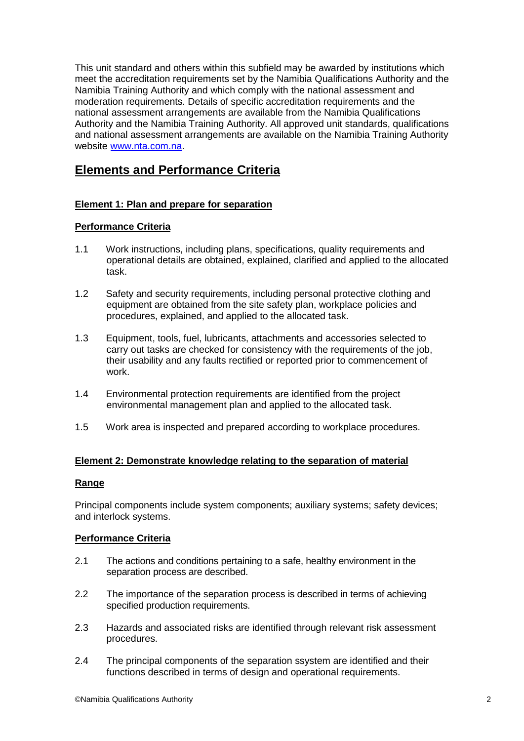This unit standard and others within this subfield may be awarded by institutions which meet the accreditation requirements set by the Namibia Qualifications Authority and the Namibia Training Authority and which comply with the national assessment and moderation requirements. Details of specific accreditation requirements and the national assessment arrangements are available from the Namibia Qualifications Authority and the Namibia Training Authority. All approved unit standards, qualifications and national assessment arrangements are available on the Namibia Training Authority website www.nta.com.na.

## **Elements and Performance Criteria**

## **Element 1: Plan and prepare for separation**

## **Performance Criteria**

- 1.1 Work instructions, including plans, specifications, quality requirements and operational details are obtained, explained, clarified and applied to the allocated task.
- 1.2 Safety and security requirements, including personal protective clothing and equipment are obtained from the site safety plan, workplace policies and procedures, explained, and applied to the allocated task.
- 1.3 Equipment, tools, fuel, lubricants, attachments and accessories selected to carry out tasks are checked for consistency with the requirements of the job, their usability and any faults rectified or reported prior to commencement of work.
- 1.4 Environmental protection requirements are identified from the project environmental management plan and applied to the allocated task.
- 1.5 Work area is inspected and prepared according to workplace procedures.

### **Element 2: Demonstrate knowledge relating to the separation of material**

#### **Range**

Principal components include system components; auxiliary systems; safety devices; and interlock systems.

#### **Performance Criteria**

- 2.1 The actions and conditions pertaining to a safe, healthy environment in the separation process are described.
- 2.2 The importance of the separation process is described in terms of achieving specified production requirements.
- 2.3 Hazards and associated risks are identified through relevant risk assessment procedures.
- 2.4 The principal components of the separation ssystem are identified and their functions described in terms of design and operational requirements.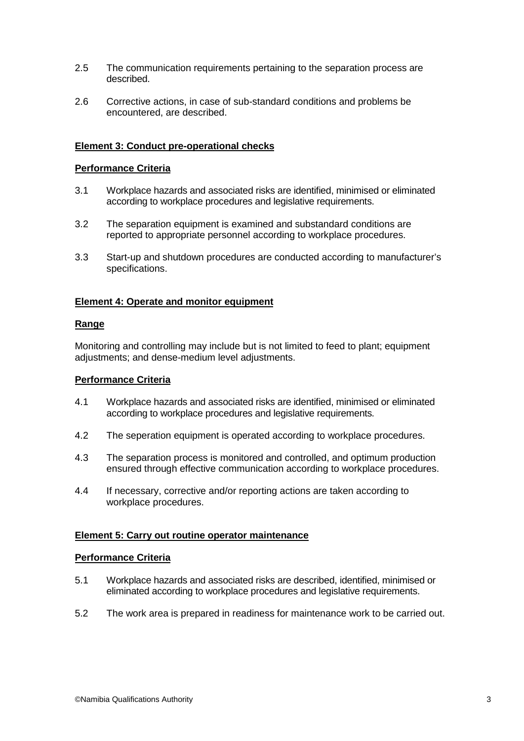- 2.5 The communication requirements pertaining to the separation process are described.
- 2.6 Corrective actions, in case of sub-standard conditions and problems be encountered, are described.

#### **Element 3: Conduct pre-operational checks**

#### **Performance Criteria**

- 3.1 Workplace hazards and associated risks are identified, minimised or eliminated according to workplace procedures and legislative requirements.
- 3.2 The separation equipment is examined and substandard conditions are reported to appropriate personnel according to workplace procedures.
- 3.3 Start-up and shutdown procedures are conducted according to manufacturer's specifications.

#### **Element 4: Operate and monitor equipment**

#### **Range**

Monitoring and controlling may include but is not limited to feed to plant; equipment adjustments; and dense-medium level adjustments.

#### **Performance Criteria**

- 4.1 Workplace hazards and associated risks are identified, minimised or eliminated according to workplace procedures and legislative requirements.
- 4.2 The seperation equipment is operated according to workplace procedures.
- 4.3 The separation process is monitored and controlled, and optimum production ensured through effective communication according to workplace procedures.
- 4.4 If necessary, corrective and/or reporting actions are taken according to workplace procedures.

#### **Element 5: Carry out routine operator maintenance**

#### **Performance Criteria**

- 5.1 Workplace hazards and associated risks are described, identified, minimised or eliminated according to workplace procedures and legislative requirements.
- 5.2 The work area is prepared in readiness for maintenance work to be carried out.